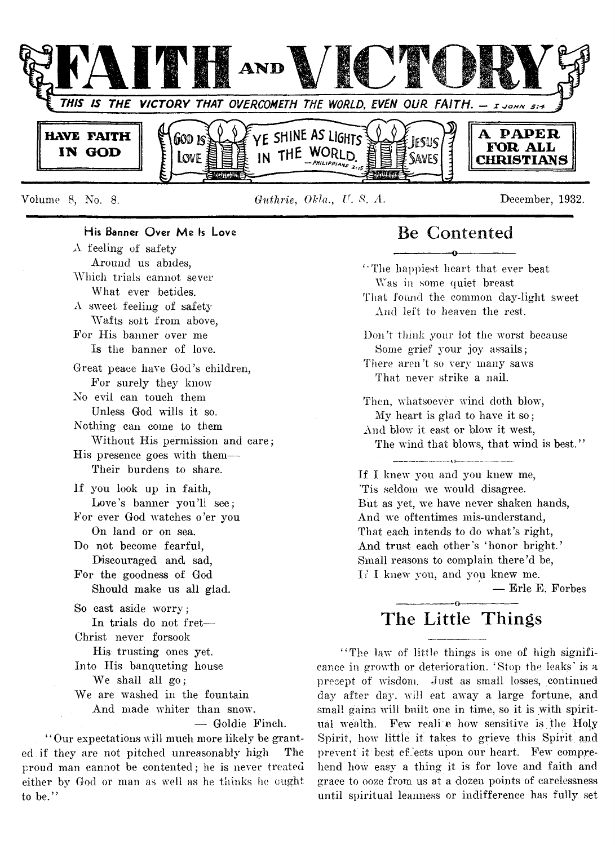

Volume 8, No. 8. *Guthrie*, *OHa., Jr. 8. A.* December, 1932.

# His Banner Over Me Is Love

 $\Lambda$  feeling of safety Around us abides, Which trials cannot sever What ever betides. A sweet feeling of safety Wafts soit from above, For His banner over me Is the banner of love. Great peace have God's children, For surely they know No evil can touch them Unless God wills it so. Nothing can come to them Without His permission and care; His presence goes with them— Their burdens to share. If you look up in faith, Love's banner you'll see; For ever God watches o'er you On land or on sea. Do not become fearful, Discouraged and sad, For the goodness of God Should make us all glad. So cast aside worry; In trials do not fret— Christ never forsook His trusting ones yet. Into His banqueting house We shall all go; We are washed in the fountain And made whiter than snow. — Goldie Finch.

' ' Our expectations will much more likely be granted if they are not pitched unreasonably high The proud man cannot be contented; he is never treated either by God or man as well as he thinks he ought

to be."

That found the common day-light sweet And left to heaven the rest. Don't think your lot the worst because Some grief your joy assails; There aren't so very many saws That never strike a nail. Then, whatsoever wind doth blow, My heart is glad to have it so; And blow it east or blow it west, The wind that blows, that wind is best."

Be Contented -----------------0----------------- ' ' The happiest heart that ever beat Was in some quiet breast

If I knew you and you knew me, 'Tis seldom we would disagree. But as yet, we have never shaken hands, And we oftentimes mis-understand, That each intends to do what's right, And trust each other's 'honor bright.' Small reasons to complain there'd be, If I knew you, and you knew me.

 $-$  Erle E. Forbes

# ---------------- o----------------- **The Little Things**

"The law of little things is one of high significance in growth or deterioration. 'Stop the leaks' is a precept of wisdom. Just as small losses, continued day after day, will eat away a large fortune, and small gains will built one in time, so it is with spiritual wealth. Few reali e how sensitive is the Holy Spirit, how little it takes to grieve this Spirit and prevent it best effects upon our heart. Few comprehend how easy a thing it is for love and faith and grace to ooze from us at a dozen points of carelessness until spiritual leanness or indifference has fully set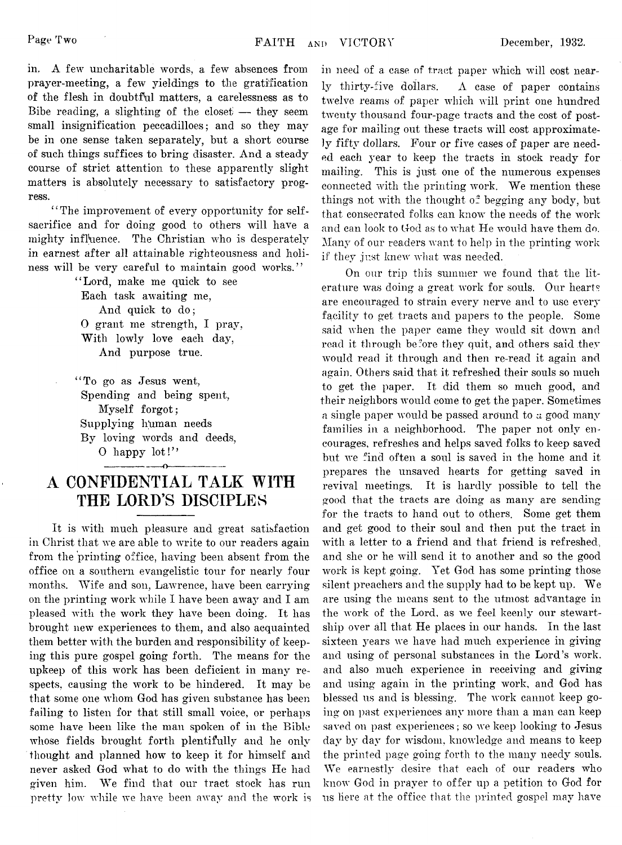in, A few uncharitable words, a few absences from prayer-meeting, a few yieldings to the gratification of the flesh in doubtful matters, a carelessness as to Bibe reading, a slighting of the closet  $-$  they seem small insignification peccadilloes; and so they may be in one sense taken separately, but a short course of such things suffices to bring disaster. And a steady course of strict attention to these apparently slight matters is absolutely necessary to satisfactory progress.

" The improvement of every opportunity for selfsacrifice and for doing good to others will have a mighty influence. The Christian who is desperately in earnest after all attainable righteousness and holiness will be very careful to maintain good works."

> " Lord, make me quick to see Each task awaiting me, And quick to do; 0 grant me strength, I pray, With lowly love each day, And purpose true.

"To go as Jesus went. Spending and being spent, Myself forgot; Supplying htiman needs By loving words and deeds, O happy lot!"

# **A CONFIDENTIAL TALK WITH THE LORD'S DISCIPLES**

-----------------o----------------

It is with much pleasure and great satisfaction in Christ that we are able to write to our readers again from the printing office, having been absent from the office on a southern evangelistic tour for nearly four months. Wife and son, Lawrence, have been carrying on the printing work while I have been away and I am pleased with the work they have been doing. It has brought new experiences to them, and also acquainted them better with the burden and responsibility of keeping this pure gospel going forth. The means for the upkeep of this work has been deficient in many respects, causing the work to be hindered. It may be that some one whom God has given substance has been failing to listen for that still small voice, or perhaps some have been like the man spoken of in the Bible whose fields brought forth plentifully and he only thought and planned how to keep it for himself and never asked God what to do with the things He had given him. We find that our tract stock has run pretty low while we have been away and the work is in need of a case of tract paper which will cost nearly thirty-five dollars. A case of paper contains twelve reams of paper which will print one hundred twenty thousand four-page tracts and the cost of postage for mailing out these tracts will cost approximately fifty dollars. Four or five cases of paper are needed each year to keep the tracts in stock ready for mailing. This is just one of the numerous expenses connected with the printing work. We mention these things not with the thought  $\sigma^2$  begging any body, but that consecrated folks can know the needs of the work and can look to God as to what He would have them do. Many of our readers want to help in the printing work if they just knew what was needed.

On our trip this summer we found that the literature was doing a great work for souls. Our hearts are encouraged to strain every nerve and to use every facility to get tracts and papers to the people. Some said when the paper came they would sit down and read it through before they quit, and others said they would read it through and then re-read it again and again. Others said that it refreshed their souls so much to get the paper. It did them so much good, and their neighbors would come to get the paper. Sometimes a single paper would be passed around to a good many families in a neighborhood. The paper not only encourages, refreshes and helps saved folks to keep saved but we find often a soul is saved in the home and it prepares the unsaved hearts for getting saved in revival meetings. It is hardly possible to tell the good that the tracts are doing as many are sending for the tracts to hand out to others. Some get them and get good to their soul and then put the tract in with a letter to a friend and that friend is refreshed., and she or he will send it to another and so the good work is kept going. Yet God has some printing those silent preachers and the supply had to be kept up. We are using the means sent to the utmost advantage in the work of the Lord, as we feel keenly our stewartship over all that He places in our hands. In the last sixteen years we have had much experience in giving and using of personal substances in the Lord's work, and also much experience in receiving and giving and using again in the printing work, and God has blessed us and is blessing. The work cannot keep going on past experiences any more than a man can keep saved on past experiences; so we keep looking to Jesus day by day for wisdom, knowledge and means to keep the printed page going forth to the many needy souls. We earnestly desire that each of our readers who know' God in prayer to offer up a petition to God for us here at the office that the printed gospel may have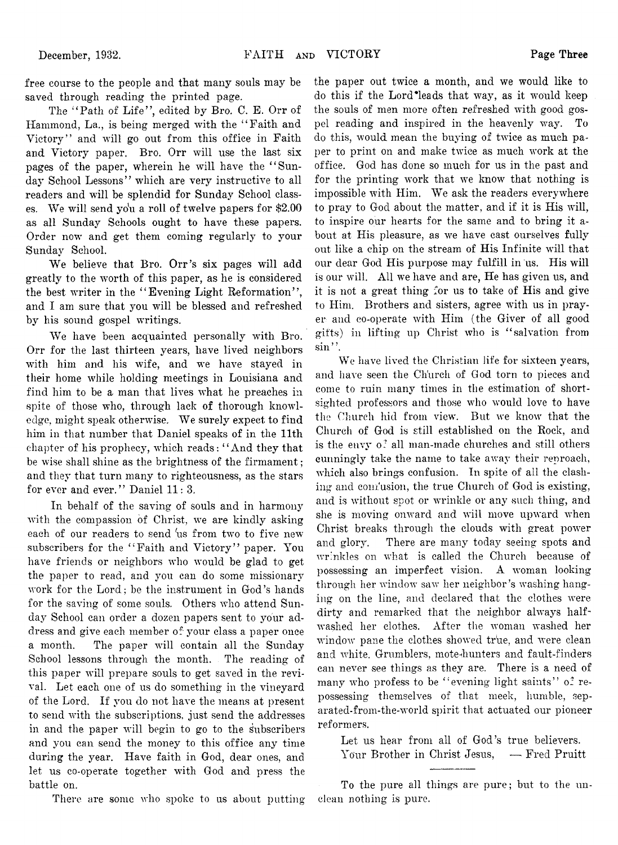free course to the people and that many souls may be saved through reading the printed page.

The "Path of Life", edited by Bro. C. E. Orr of Hammond, La., is being merged with the " Faith and Victory" and will go out from this office in Faith and Victory paper. Bro. Orr will use the last six pages of the paper, wherein he will have the "Sunday School Lessons" which are very instructive to all readers and will be splendid for Sunday School classes. We will send you a roll of twelve papers for \$2.00 as all Sunday Schools ought to have these papers. Order now and get them coming regularly to your Sunday School.

We believe that Bro. Orr's six pages will add greatly to the worth of this paper, as he is considered the best writer in the "Evening Light Reformation", and I am sure that you will be blessed and refreshed by his sound gospel writings.

We have been acquainted personally with Bro. Orr for the last thirteen years, have lived neighbors with him and his wife, and we have stayed in their home while holding meetings in Louisiana and find him to be a man that lives what he preaches in spite of those who, through lack of thorough knowledge, might speak otherwise. We surely expect to find him in that number that Daniel speaks of in the 11th chapter of his prophecy, which reads: " And they that be wise shall shine as the brightness of the firmament ; and they that turn many to righteousness, as the stars for ever and ever." Daniel 11: 3.

In behalf of the saving of souls and in harmony with the compassion of Christ, we are kindly asking each of our readers to send 'us from two to five new subscribers for the "Faith and Victory" paper. You have friends or neighbors who would be glad to get the paper to read, and you can do some missionary work for the Lord; be the instrument in God's hands for the saving of some souls. Others who attend Sunday School can order a dozen papers sent to your address and give each member of your class a paper once a month. The paper will contain all the Sunday School lessons through the month. The reading of this paper will prepare souls to get saved in the revival. Let each one of us do something in the vineyard of the Lord. If you do not have the means at present to send with the subscriptions, just send the addresses in and the paper will begin to go to the subscribers and you can send the money to this office any time during the year. Have faith in God, dear ones, and let us co-operate together with God and press the battle on.

There are some who spoke to us about putting

the paper out twice a month, and we would like to do this if the Lord\*leads that way, as it would keep the souls of men more often refreshed with good gospel reading and inspired in the heavenly way. To do this, would mean the buying of twice as much paper to print on and make twice as much work at the office. God has done so much for us in the past and for the printing work that we know that nothing is impossible with Him. We ask the readers everywhere to pray to God about the matter, and if it is His will, to inspire our hearts for the same and to bring it about at His pleasure, as we have cast ourselves fully out like a chip on the stream of His Infinite will that our dear God His purpose may fulfill in us. His will is our will. All we have and are, He has given us, and it is not a great thing for us to take of His and give to Him. Brothers and sisters, agree with us in prayer and co-operate with Him (the Giver of all good gifts) in lifting up Christ who is " salvation from  $\sin$ ".

We have lived the Christian life for sixteen years, and have seen the Church of God torn to pieces and come to ruin many times in the estimation of shortsighted professors and those who would love to have the Church hid from view. But we know that the Church of God is still established on the Rock, and is the envy  $o^2$  all man-made churches and still others cunningly take the name to take away their reproach, which also brings confusion. In spite of all the clashing and comusion, the true Church of God is existing, and is without spot or wrinkle or any such thing, and she is moving onward and will move upward when Christ breaks through the clouds with great power and glory. There are many today seeing spots and wrinkles on what is called the Church because of possessing an imperfect vision. A woman looking through her window saw her neighbor's washing hanging on the line, and declared that the clothes were dirty and remarked that the neighbor always halfwashed her clothes. After the woman washed her window pane the clothes showed true, and were clean and white. Grumblers, mote-hunters and fault-finders can never see things as they are. There is a need of many who profess to be "evening light saints" of repossessing themselves of that meek, humble, separated-from-the-world spirit that actuated our pioneer reformers.

Let us hear from all of God's true believers. Your Brother in Christ Jesus, - Fred Pruitt

To the pure all things are pure; but to the unclean nothing is pure.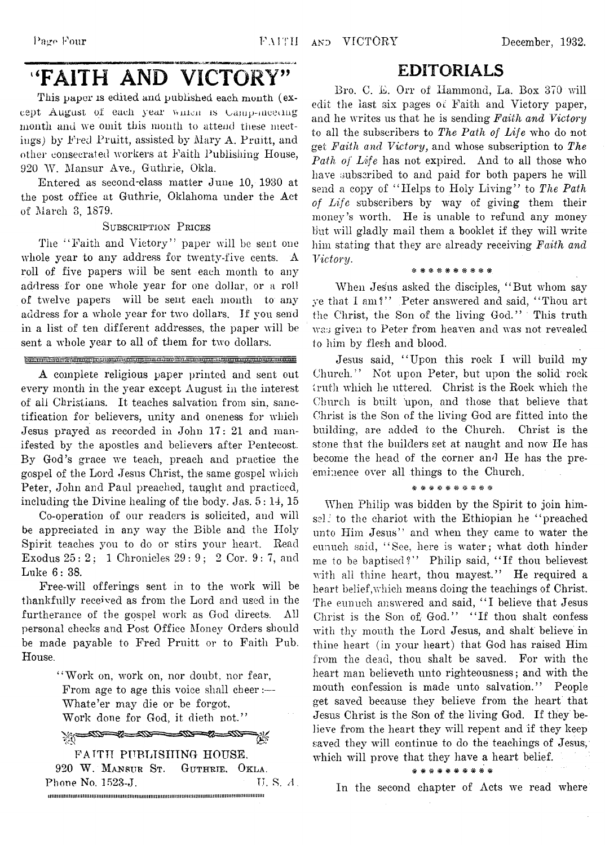# 'FAITH AND VICTORY"

**■ — — Bana— n— apwnffiima»if»MTg<riTrTiiri«M«oCTniwwn w iiii; rasssraavsra: riw^juas \*-«t iau ^ -»**

This paper is edited and published each month (except August of each year winten is Camp-meeting month and we omit this month to attend these meetings) by Fred Pruitt, assisted, by Mary A. Pruitt, and other consecrated workers at Faith Publishing\* House, 920 W. Mansur Ave., Guthrie, Okla.

Entered as second-class matter June 10, 1930 at the post office at Guthrie, Oklahoma under the Act of March 3, 1879.

#### **S ubscription Prices**

The "Faith and Victory" paper will be sent one whole year to any address for twenty-five cents. A roll of five papers will be sent each month to any address for one whole year for one dollar, or a roll of twelve papers will be sent each month to any address for a whole year for two dollars. If you send in a list of ten different addresses, the paper will be sent a whole year to all of them for two dollars.

#### <u>gaariin aan araanimii heeduuna waxaa ahaa ahaa moolgaa ahaan maraanimii maraan</u>

A complete religious paper printed and sent out every month in the year except August in the interest of all Christians. It teaches salvation from sin, sanctification for believers, unity and oneness for which Jesus prayed as recorded in John 17: 21 and manifested by the apostles and believers after Pentecost. By God's grace we teach, preach and practice the gospel of the Lord Jesus Christ, the same gospel which Peter, John and Paul preached, taught and practiced, including the Divine healing of the body. Jas. 5: 14, 15

Co-operation of our readers is solicited, and will be appreciated in any way the Bible and the Holy Spirit teaches you to do or stirs your heart. Bead Exodus 25 : 2 ; 1 Chronicles 29 : 9 ; 2 Cor. 9 : 7, and Luke 6: 38.

Free-will offerings sent in to the work will be thankfully received as from the Lord and used in the furtherance of the gospel work as God directs. All personal checks and Post Office Money Orders should be made payable to Fred Pruitt or to Faith Pub. House.

> "Work on, work on, nor doubt, nor fear, From age to age this voice shall cheer:— Whate'er may die or be forgot, Work done for God, it dieth not."

 $20 - 30 - 30 - 30 - 30 - 30 - 30$ FAITH PUBLISHING HOUSE. 920 W. **Mansur St . Guthrie, Okla.** Phone No.  $1523-J$ . TJ. S. A. iiimiiimimiimiiMiiiiuiimimiimimiiimmimmiiimimuiimiiimmimimiiimimimiuiiiiiim

# EDITORIALS

Bro. C. E. Orr of Hammond, La. Box 370 will edit the last six pages of Faith and Victory paper, and he writes us that he is sending *Faith and Victory* to all the subscribers to *The Path of Life* who do not get *Faith and Victory,* and whose subscription to *The Path of Life* has not expired. And to all those who have subscribed to and paid for both papers he will send a copy of "Helps to Holy Living" to *The Path of Life* subscribers by way of giving them their money's worth. He is unable to refund any money but will gladly mail them a booklet if they will write him stating that they are already receiving *Faith and Victory.*

#### \* \* \* \* \* \* \* \* \* \*

When Jesus asked the disciples, "But whom say ye that I am?" Peter answered and said, "Thou art the Christ, the Son of.the living God." This truth was given to Peter from heaven and was not revealed to him by flesh and blood.

Jesus said, "Upon this rock I will build my Church." Not upon Peter, but upon the solid rock truth which lie uttered. Christ is the Rock which the Church is built upon, and those that believe that Christ is the Son of the living God are fitted into the building, are added to the Church, Christ is the stone that the builders set at naught and now He has become the head of the corner and He has the preeminence over all things to the Church.

#### \* \* \* \* \* \* \* \* \* \*

When Philip was bidden by the Spirit to join himsel! to the chariot with the Ethiopian he "preached unto Him Jesus" and when they came to water the eunuch said, "See, here is water; what doth hinder me to be baptised?" Philip said, "If thou believest with all thine heart, thou mayest." He required a heart belief,which means doing the teachings of Christ. The eunuch answered and said, "I believe that Jesus Christ is the Son of God." "If thou shalt confess with thy mouth the Lord Jesus, and shalt believe in thine heart (in your heart) that God has raised Him from the dead, thou shalt be saved. For with the heart man believeth unto righteousness; and with the mouth confession is made unto salvation." People get saved because they believe from the heart that Jesus Christ is the Son of the living God. If they believe from the heart they will repent and if they keep saved they will continue to do the teachings of Jesus, which will prove that they have a heart belief.

\* \* \* \* \* \* \* \* \* \*

In the second chapter of Acts we read where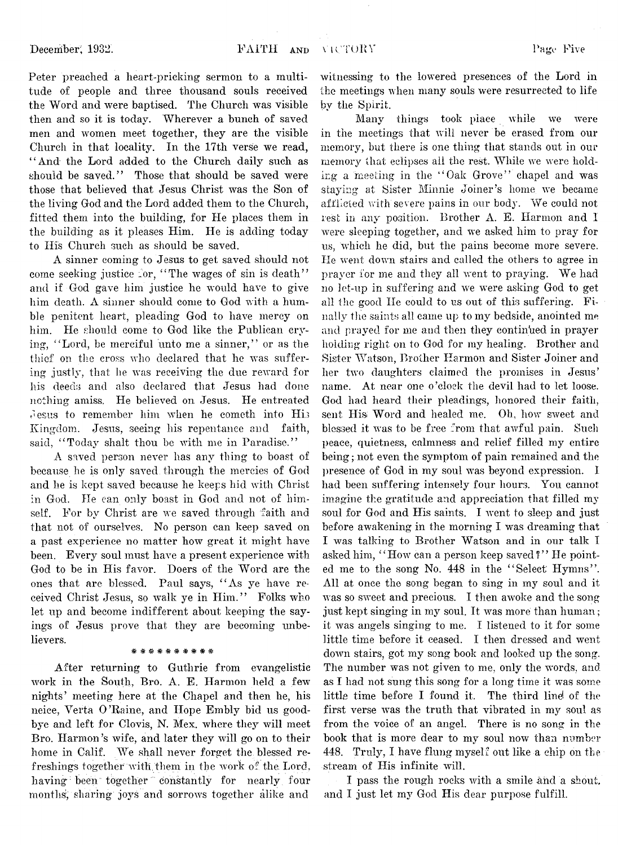Peter preached a heart-pricking sermon to a multitude of people and three thousand souls received the Word and were baptised. The Church was visible then and so it is today. Wherever a bunch of saved men and women meet together, they are the visible Church in that locality. In the 17th verse we read, " And the Lord added to the Church daily such as should be saved." Those that should be saved were those that believed that Jesus Christ was the Son of the living God and the Lord added them to the Church, fitted them into the building, for He places them in the building as it pleases Him. He is adding today to His Church such as should be saved.

A sinner coming to Jesus to get saved should not come seeking justice for, "The wages of sin is death" and if God gave him justice he would have to give him death. A sinner should come to God with a humble penitent heart, pleading God to have mercy on him. He should come to God like the Publican crying, " Lord, be merciful unto me a sinner," or as the thief on the cross who declared that he was suffering justly, that he was receiving the due reward for his deeds and also declared that Jesus had done nothing amiss. He believed on Jesus. He entreated Jesus to remember him when he cometh into His Kingdom. Jesus, seeing his repentance and faith, said, "Today shalt thou be with me in Paradise."

A saved person never has any thing to boast of because he is only saved through the mercies of God and he is kept saved because he keeps hid with Christ in God. He can only boast in God and not of himself. For by Christ are we saved through faith and that not of ourselves. No person can keep saved on a past experience no matter how great it might have been. Every soul must have a present experience with God to be in His favor. Doers of the Word are the ones that are blessed. Paul says, " As ye have received Christ Jesus, so walk ye in Him." Folks who let up and become indifferent about keeping the sayings of Jesus prove that they are becoming unbelievers.

### \* \* \* \* \* \* \* \*

After returning to Guthrie from evangelistic work in the South, Bro. A. E. Harmon held a few nights' meeting here at the Chapel and then he, his neice, Verta O 'Raine, and Hope Embly bid us goodbye and left for Clovis, N. Mex. where they will meet Bro. Harmon's wife, and later they will go on to their home in Calif. We shall never forget the blessed refreshings together with them in the work of the Lord, having been together constantly for nearly four months," sharing' joys'and sorrows together alike and

witnessing to the lowered presences of the Lord in the meetings when many souls were resurrected to life bv the Spirit.

Many things took place while we were in the meetings that will never be erased from our memory, but there is one thing that stands out in our memory that eclipses all the rest. While we were holding a meeting in the " Oak Grove" chapel and was staying at Sister Minnie Joiner's home we became afflicted with severe pains in our body. We could not lest in any position. Brother A. E. Harmon and 1 were sleeping together, and we asked him to pray for us, which he did, but the pains become more severe. He went down stairs and called the others to agree in prayer for me and they all went to praying. We had no let-up in suffering and we were asking God to get all the good He could to us out of this suffering. Finally the saints all came up to my bedside, anointed me and prayed for me and then they continued in prayer holding right on to God for my healing. Brother and Sister Watson, Brother Harmon and Sister Joiner and her two daughters claimed the promises in Jesus' name. At near one o 'clock the devil had to let loose. God had heard their pleadings, honored their faith, sent His Word and healed me. Oh, how sweet and blessed it was to be free from that awful pain. Such peace, quietness, calmness and relief filled my entire being; not even the symptom of pain remained and the presence of God in my soul was beyond expression. I had been suffering intensely four hours. You cannot imagine the gratitude and appreciation that filled my soul for God and His saints. I went to sleep and just before awakening in the morning I was dreaming that I was talking to Brother Watson and in our talk I asked him, "How can a person keep saved?" He pointed me to the song No. 448 in the "Select Hymns". All at once the song began to sing in my soul and it was so sweet and precious. I then awoke and the song just kept singing in my soul. It was more than human; it was angels singing to me. I listened to it for some little time before it ceased. I then dressed and went down stairs, got my song book and looked up the song. The number was not given to me, only the words, and as I had not sung this song for a long time it was some little time before I found it. The third line\* of the first verse was the truth that vibrated in my soul as from the voice of an angel. There is no song in the book that is more dear to my soul now than number 448. Truly, I have flung myself out like a chip on the stream of His infinite will.

I pass the rough rocks with a smile and a shout, and I just let my God His dear purpose fulfill.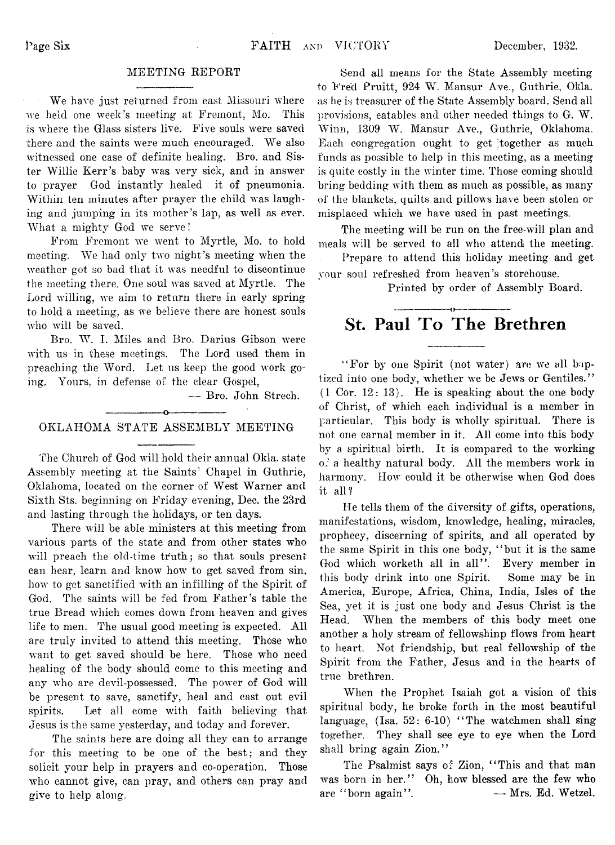#### MEETING REPORT

We have just returned from east Missouri where we held one week's meeting at Fremont, Mo. This is where the Glass sisters live. Five souls were saved there and the saints were much encouraged. We also witnessed one case of definite healing. Bro. and Sister Willie Kerr's baby was very sick, and in answer to prayer God instantly healed it of pneumonia. Within ten minutes after prayer the child was laughing and jumping in its mother's lap, as well as ever. What a mighty God we serve!

From Fremont we went to Myrtle, Mo. to hold meeting. We had only two night 's meeting when the weather got so bad that it was needful to discontinue the meeting there. One soul was saved at Myrtle. The Lord willing, we aim to return there in early spring to hold a meeting, as we believe there are honest souls who will be saved.

Bro. W. I. Miles and Bro. Darius Gibson were with us in these meetings. The Lord used them in preaching the Word. Let us keep the good work going. Yours, in defense of the clear Gospel,

— Bro. John Strech.

# ---------------- o---------------- OKLAHOMA STATE ASSEMBLY MEETING

The Church of God will hold their annual Okla. state Assembly meeting at the Saints' Chapel in Guthrie, Oklahoma, located on the corner of West Warner and Sixth Sts. beginning on Friday evening, Dec. the 23rd and lasting through the holidays, or ten days.

There will be able ministers at this meeting from various parts of the state and from other states who will preach the old-time truth; so that souls present can hear, learn and know how to get saved from sin, how to get sanctified with an infilling of the Spirit of God. The saints will be fed from Father's table the true Bread which comes down from heaven and gives life to men. The usual good meeting is expected. All are truly invited to attend this meeting. Those who want to get saved should be here. Those who need healing of the body should come to this meeting and any who are devil-possessed. The power of God will be present to save, sanctify, heal and cast out evil spirits. Let all come with faith believing that Jesus is the same yesterday, and today and forever.

The saints here are doing all they can to arrange for this meeting to be one of the best; and they solicit your help in prayers and co-operation. Those who cannot give, can pray, and others can pray and give to help along.

Send all means for the State Assembly meeting to Fred Pruitt, 924 W. Mansur Ave., Guthrie, Okla. as he is treasurer of the State Assembly board. Send all provisions, eatables and other needed things to G. W. Winn, 1309 W. Mansur Ave., Guthrie, Oklahoma. Each congregation ought to get together as much funds as possible to help in this meeting, as a meeting is quite costly in the winter time. Those coming should bring bedding with them as much as possible, as many of the blankets, quilts and pillows have been stolen or misplaced which we have used in past meetings.

The meeting will be run on the free-will plan and meals will be served to all who attend the meeting.

Prepare to attend this holiday meeting and get your soul refreshed from heaven's storehouse.

Printed by order of Assembly Board.

# **St. Paul To The Brethren**

"For by one Spirit (not water) are we all baptized into one body, whether we be Jews or Gentiles." (1 Cor. 12: 13). He is speaking about the one body of Christ, of which each individual is a member in particular. This body is wholly spiritual. There is not one carnal member in it. All come into this body by a spiritual birth. It is compared to the working of a healthy natural body. All the members work in harmony. How could it be otherwise when God does it all?

He tells them of the diversity of gifts, operations, manifestations, wisdom, knowledge, healing, miracles, prophecy, discerning of spirits, and all operated by the same Spirit in this one body, "but it is the same God which worketh all in all". Every member in this body drink into one Spirit. Some may be in America, Europe, Africa, China, India, Isles of the Sea, yet it is just one body and Jesus Christ is the Head. When the members of this body meet one another a holy stream of fellowshinp flows from heart to heart. Not friendship, but real fellowship of the Spirit from the Father, Jesus and in the hearts of true brethren.

When the Prophet Isaiah got a vision of this spiritual body, he broke forth in the most beautiful language,  $(Isa. 52: 6-10)$  "The watchmen shall sing together. They shall see eye to eye when the Lord shall bring again Zion."

The Psalmist says of Zion, "This and that man was born in her." Oh, how blessed are the few who are "born again". - Mrs. Ed. Wetzel.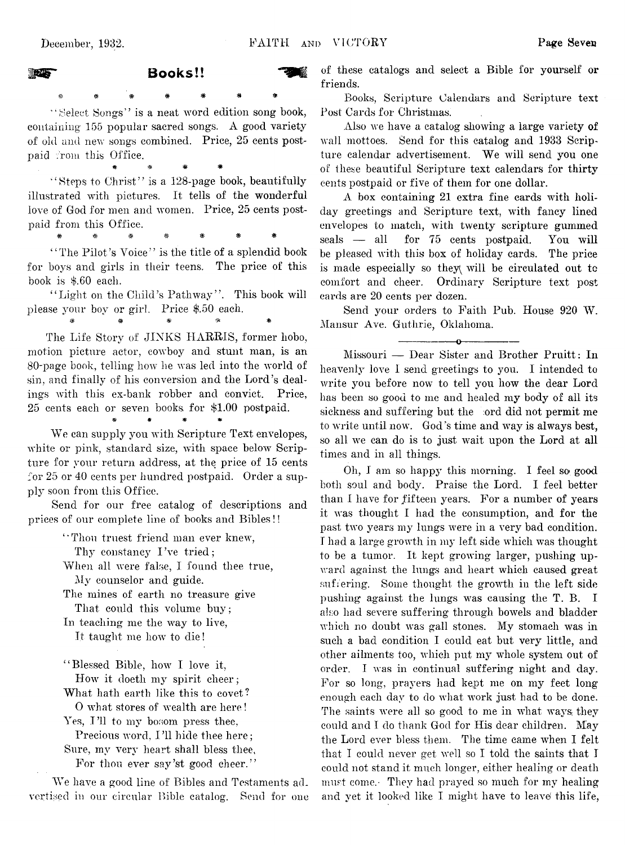# **MEE** Books!! .<br>\* \* \* \* \* \* \*

"Select Songs" is a neat word edition song book, containing 155 popular sacred songs. A good variety of old and new songs combined. Price, 25 cents postpaid from this Office.

' "Steps to Christ" is a 128-page book, beautifully illustrated with pictures. It tells of the wonderful love of God for men and women. Price, 25 cents postpaid from this Office.

\* # # \*

#\*\*\$###

"The Pilot's Voice" is the title of a splendid book for boys and girls in their teens. The price of this book is \$.60 each.

"Light on the Child's Pathway". This book will please your boy or girl. Price \$.50 each. # # # *\** \*

The Life Story of JINKS HARRIS, former hobo, motion picture actor, cowboy and stunt man, is an 80-page book, telling how he was led into the world of sin, and finally of his conversion and the Lord's dealings with this ex-bank robber and convict. Price, 25 cents each or seven books, for \$1.00 postpaid.

# \* \* \*

We can supply you with Scripture Text envelopes, white or pink, standard size, with space below Scripture for your return address, at the price of 15 cents for 25 or 40 cents per hundred postpaid. Order a supply soon from this Office.

Send for our free catalog of descriptions and prices of our complete line of books and Bibles!!

"Thou truest friend man ever knew,

Thy constancy I've tried;

When all were false, I found thee true, My counselor and guide.

The mines of earth no treasure give That could this volume buy;

In teaching me the way to live, It taught me how to die!

""Blessed Bible, how I love it, How it doeth my spirit cheer; What hath earth like this to covet?

O what stores of wealth are here!

Yes, I'll to my bosom press thee.

Precious word, I'll hide thee here; Sure, my very heart shall bless thee,

For thou ever say'st good cheer."

We have a good line of Bibles and Testaments advertised in our circular Bible catalog. Send for one of these catalogs and select a Bible for yourself or friends.

Books, Scripture Calendars and Scripture text Post Cards for Christmas.

Also we have a catalog showing a large variety of wall mottoes. Send for this catalog and 1933 Scripture calendar advertisement. We will send you one of these beautiful Scripture text calendars for thirty cents postpaid or five of them for one dollar.

A box containing 21 extra fine cards with holiday greetings and Scripture text, with fancy lined envelopes to match, with twenty scripture gummed seals — all for 75 cents postpaid. You will be pleased with this box of holiday cards. The price is made especially so they will be circulated out to comfort and cheer. Ordinary Scripture text post cards are 20 cents per dozen.

Send your orders to Faith Pub. House 920 W. Mansur Ave. Guthrie, Oklahoma.

-----------------o----------------

Missouri — Dear Sister and Brother Pruitt: In heavenly love I send greetings to you. I intended to write you before now to tell you how the dear Lord has been so good to me and healed my body of all its sickness and suffering but the ord did not permit me to write until now. God's time and way is always best, so all we can do is to just wait upon the Lord at all times and in all things.

Oh, I am so happy this morning. I feel so good both soul and body. Praise the Lord. I feel better than I have for fifteen years. For a number of years it was thought I had the consumption, and for the past two years my lungs were in a very bad condition. I had a large growth in my left side which was thought to be a tumor. It kept growing larger, pushing upward against the lungs and heart which caused great suffering. Some thought the growth in the left side pushing against the lungs was causing the T. B. I also had severe suffering through bowels and bladder which no doubt was gall stones. My stomach was in such a bad condition I could eat but very little, and other ailments too, which put my whole system out of order. I was in continual suffering night and day. For so long, prayers had kept me on my feet long enough each day to do what work just had to be done. The saints were all so good to me in what ways they could and I do thank God for His dear children. May the Lord ever bless them. The time came when I felt that I could never get well so I told the saints that I could not stand it much longer, either healing or death must come.- They had prayed so much for my healing and yet it looked like I might have to leave this life,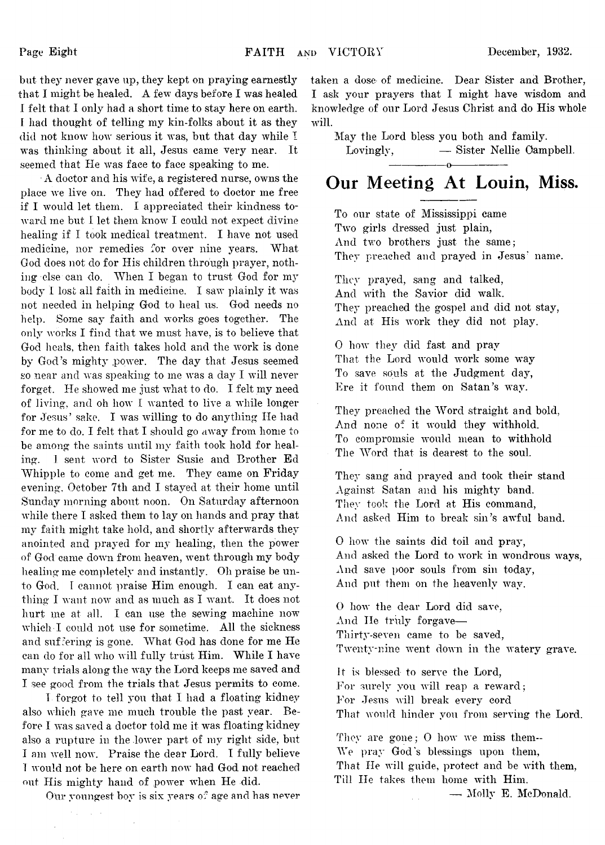but they never gave up, they kept on praying earnestly that I might be healed. A few days before I was healed I felt that I only had a short time to stay here on earth. I had thought of telling my kin-folks about it as they did not know how serious it was, but that day while I was thinking about it all, Jesus came very near. It seemed that He was face to face speaking to me.

•A doctor and his wife, a registered nurse, owns the place we live on. They had offered to doctor me free if I would let them. I appreciated their kindness toward me but I let them know I could not expect divine healing if I took medical treatment. I have not used medicine, nor remedies for over nine years. What God does not do for His children through prayer, nothing else can do. When I began to trust God for my body I lost ail faith in medicine. I saw plainly it was not needed in helping God to heal us. God needs no help. Some say faith and works goes together. The only works I find that we must have, is to believe that God heals, then faith takes hold and the work is done by God's mighty power. The day that Jesus seemed so near and was speaking to me was a day I will never forget. He showed me just what to do. I felt my need of living, and oh how I wanted to live a while longer for Jesus' sake. I was willing to do anything He had for me to do. I felt that I should go away from home to be among the saints until my faith took hold for healing. I sent word to Sister Susie and Brother Ed Whipple to come and get me. They came on Friday evening, October 7th and I stayed at their home until Sunday morning about noon. On Saturday afternoon while there I asked them to lay on hands and pray that my faith might take hold, and shortly afterwards they anointed and prayed for my healing, then the power of God' came down from heaven, went through my body healing me completely and instantly. Oh praise be unto God. I cannot praise Him enough. I can eat anything I want now and as much as I want. It does not hurt me at all. I can use the sewing machine now which-I could not use for sometime. All the sickness and suffering is gone. What God has done for me He can do for all who will fully trust Him. While I have many trials along the way the Lord keeps me saved and I see good from the trials that Jesus permits to come.

1 forgot to tell you that I had a floating kidney also which gave me much trouble the past year. Before I was saved a doctor told me it was floating kidney also a rupture in the lower part of my right side, but I am well now. Praise the dear Lord. I fully believe ! would not be here on earth now had God not reached out His mighty hand of power when He did.

**Sales** 

Our youngest boy is six years of age and has never

taken a dose of medicine. Dear Sister and Brother, I ask your prayers that I might have wisdom and knowdedge of our Lord Jesus Christ and do His whole will.

May the Lord bless you both and family.

Lovingly, — Sister Nellie Campbell.

# ----------------------------------------------Q ----------------------------------------------- **Our Meeting At Louin, Miss.**

To our state of Mississippi came Two girls dressed just plain, And two brothers just the same; They preached and prayed in Jesus' name.

They prayed, sang and talked, And with the Savior did walk. They preached the gospel and did not stay, And at His work they did not play.

0 how they did fast and pray That the Lord would work some way To save souls at the Judgment day, Ere it found them on Satan's way.

They preached the Word straight and bold, And none of it would they withhold. To compromsie would mean to withhold The Word that is dearest to the soul.

They sang and prayed and took their stand Against Satan and his mighty band. They took the Lord at His command, And asked Him to break sin's awful band.

0 how the saints did toil and pray, And asked the Lord to work in wondrous ways, And save poor souls from sin today, And put them on the heavenly way.

0 how the dear Lord did save, And He truly forgave-Thirty-seven came to be saved, Twenty-nine went down in the watery grave.

It is blessed to serve the Lord, For surely you will reap a reward; For Jesus will break every cord That would hinder you from serving the Lord.

They are gone; 0 how we miss them— We pray God's blessings upon them, That He will guide, protect and be with them, Till He takes them home with Him. —. Molly E. McDonald.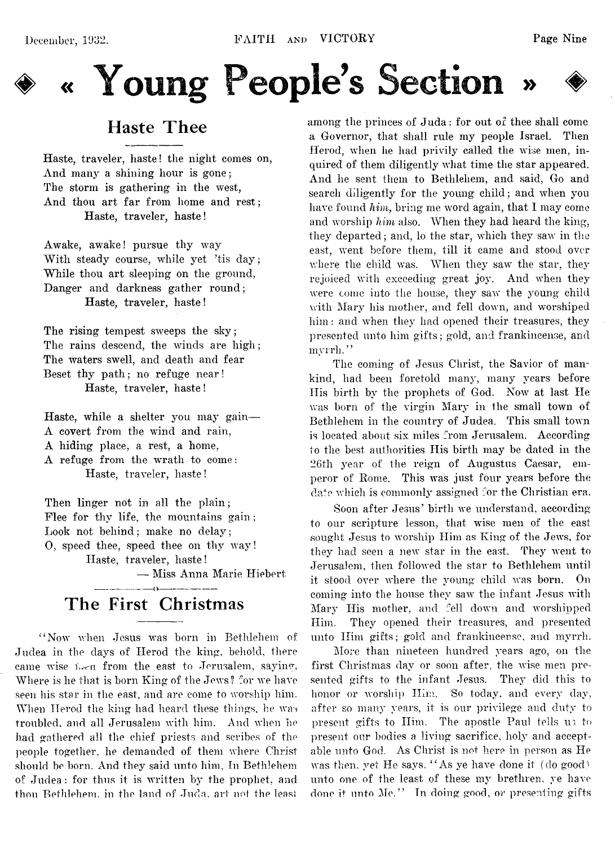



# **Haste Thee**

Haste, traveler, haste! the night comes on, And many a shining hour is gone; The storm is gathering in the west, And thou art far from home and rest; Haste, traveler, haste!

Awake, aw^ake! pursue thy *way* With steady course, while yet 'tis day; While thou art sleeping on the ground, Danger and darkness gather round; Haste, traveler, haste!

The rising tempest sweeps the sky; The rains descend, the winds are high; The waters swell, and death and fear Beset thy path; no refuge near! Haste, traveler, haste!

Haste, while a shelter you may gain— A covert from the wind and rain, A hiding place, a rest, a home, A refuge from the wrath to come: Haste, traveler, haste!

Then linger not in all the plain; Flee for thy life, the mountains gain ; Look not behind; make no delay; O, speed thee, speed thee on thy way! Haste, traveler, haste!

— Miss Anna Marie Hiebert

# **The First Christmas**

"Now when Jesus was born in Bethlehem of Judea in the days of Herod the king, behold, there came wise  $i \nless n$  from the east to Jerusalem, saying, Where is he that is born King of the Jews? for we have seen his star in the east, and are come to worship him. When Herod the king had heard these things, he was troubled, and all Jerusalem with him. And when he had gathered all the chief priests and scribes of the people together, he demanded of them where Christ should be born. And they said unto him, In Bethlehem of Judea: for thus it is written by the prophet, and thou Bethlehem, in the land of Juda, art not the least

among the princes of Juda: for out of thee shall come a Governor, that shall rule my people Israel. Then Herod, when he had privily called the wise men, inquired of them diligently what time the star appeared. And he sent them to Bethlehem, and said, Go and search diligently for the young child; and when you have found *him,* bring me word again, that I may come and worship him also. When they had heard the king, they departed; and, lo the star, which they saw in the east, went before them, till it came and stood over where the child was. When they saw the star, they rejoiced with exceeding great joy. And when they were come into the house, they saw the young child with Mary his mother, and fell down, and worshiped him: and when they had opened their treasures, they presented unto him gifts; gold, and frankincense, and myrrh."

The coming of Jesus Christ, the Savior of mankind, had been foretold many, many years before His birth by the prophets of God. Now at last He was born of the virgin Mary in the small town of Bethlehem in the country of Judea. This small town is located about six miles from Jerusalem. According to the best authorities His birth may be dated in the 26th year of the reign of Augustus Caesar, emperor of Rome. This was just four years before the date which is commonly assigned for the Christian era.

Soon after Jesus' birth we understand, according to our scripture lesson, that wise men of the east sought Jesus to worship Him as King of the Jews, for they had seen a new star in the east. They went to Jerusalem, then followed the star to Bethlehem until it stood over where the young child was born. On coming into the house they saw the infant Jesus with Mary His mother, and fell down and worshipped Him. They opened their treasures, and presented unto Him gifts; gold and frankincense, and myrrh.

More than nineteen hundred years ago, on the first Christmas day or soon after, the wise men presented gifts to the infant Jesus. They did this to honor or worship Him. So today, and every day, after so many years, it is our privilege and duty to present gifts to Him. The apostle Paul tells us to present our bodies a living sacrifice, holy and acceptable unto God. As Christ is not here in person as He was then, yet He says, "As ye have done it (do good) unto one of the least of these my brethren, ye have done it unto Me." In doing good, or presenting gifts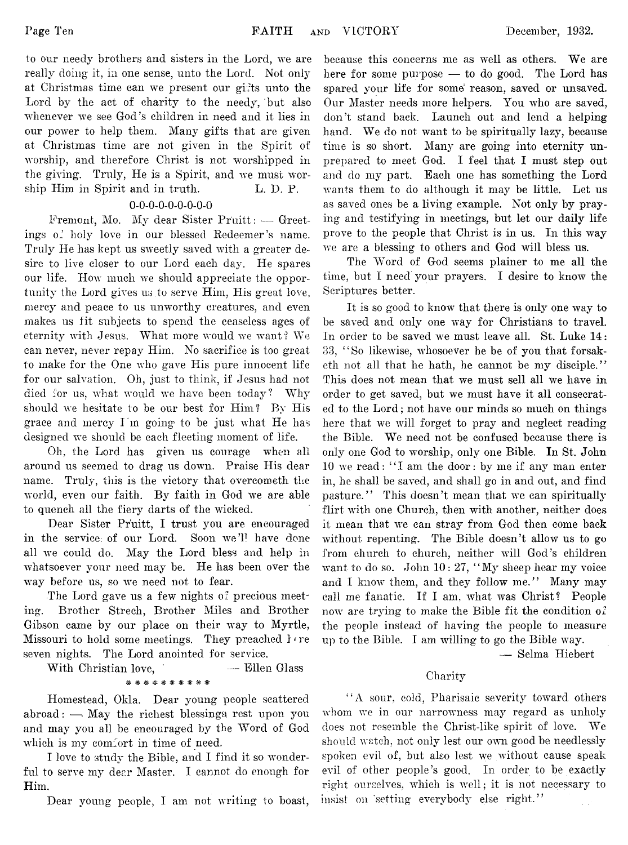to our needy brothers and sisters in the Lord, we are really doing it, in one sense, unto the Lord. Not only at Christmas time can we present our gifts unto the Lord by the act of charity to the needy, but also whenever we see God's children in need and it lies in our power to help them. Many gifts that are given at Christmas time are not given in the Spirit of worship, and therefore Christ is not worshipped in the giving. Truly, He is a Spirit, and we must worship Him in Spirit and in truth. L. D. P.

# 0-0-0-0-0-0-0-0-0

.Fremont, Mo. My dear Sister Pruitt: — Greetings of holy love in our blessed Redeemer's name. Truly He has kept us sweetly saved with a greater desire to live closer to our Lord each day. He spares our life. How much we should appreciate the opportunity the Lord gives us to serve Him, His great love, mercy and peace to us unworthy creatures, and even makes us fit subjects to spend the ceaseless ages of eternity with Jesus. What more would we want ? We can never, never repay Him. No sacrifice is too great to make for the One who gave His pure innocent life for our salvation. Oh, just to think, if Jesus had not died for us, what would we have been today? Why should we hesitate to be our best for Him? By His grace and mercy I'm going to be just what He has designed we should be each fleeting moment of life.

Oh, the Lord has given us courage when all around us seemed to drag us down. Praise His dear name. Truly, this is the victory that overcometh the world, even our faith. By faith in God we are able to quench all the fiery darts of the wicked.

Dear Sister Pruitt, I trust you are encouraged in the service; of our Lord. Soon we'll have done all we could do. May the Lord bless and help in whatsoever your need may be. He has been over the way before us, so we need not to fear.

The Lord gave us a few nights of precious meeting. Brother Streeh, Brother Miles and Brother Gibson came by our place on their way to Myrtle, Missouri to hold some meetings. They preached  $\Gamma$  re seven nights. The Lord anointed for service.

With Christian love, - - - Ellen Glass \*#########

Homestead, Okla. Dear young people scattered abroad:  $\overline{\phantom{a}}$  May the richest blessings rest upon you and may you all be encouraged by the Word of God which is my comfort in time of need.

I love to study the Bible, and I find it so wonderful to serve my dear Master. I cannot do enough for Him.

Dear young people, I am not writing to boast,

because this concerns me as well as others. We are here for some purpose — to do good. The Lord has spared your life for some reason, saved or unsaved. Our Master needs more helpers. You who are saved, don't stand back. Launch out and lend a helpinghand. We do not want to be spiritually lazy, because time is so short. Many are going into eternity unprepared to meet God. I feel that I must step out and do my part. Each one has something the Lord wants them to do although it may be little. Let us as saved ones be a living example. Not only by praying and testifying in meetings, but let our daily life prove to the people that Christ is in us. In this way we are a blessing to others and God will bless us.

The Word of God seems plainer to me all the time, but I need your prayers. I desire to know the Scriptures better.

It is so good to know that there is only one way to be saved and only one way for Christians to travel. In order to be saved we must leave all. St. Luke 14: 33, ' ' So likewise, whosoever he be of you that forsaketh not all that he hath, he cannot be my disciple." This does not mean that we must sell all we have in order to get saved, but we must have it all consecrated to the Lord; not have our minds so much on things here that we will forget to pray and neglect reading the Bible. We need not be confused because there is only one God to worship, only one Bible. In St. John 10 we read: " I am the door: by me if any man enter in, he shall be saved, and shall go in and out, and find pasture." This doesn't mean that we can spiritually flirt with one Church, then with another, neither does it mean that we can stray from God then come back without repenting. The Bible doesn't allow us to go from church to church, neither will God's children want to do so. John 10: 27, "My sheep hear my voice and I know them, and they follow me." Many may call me fanatic. If I am, what was Christ? People now are trying to make the Bible fit the condition of the people instead of having the people to measure up to the Bible. I am willing to go the Bible way.

— Selma Hiebert

# Charity

' ' A sour, cold, Pharisaic severity toward others whom we in our narrowness may regard as unholy does not resemble the Christ-like spirit of love. We shoidd watch, not only lest our own good be needlessly spoken evil of, but also lest we without cause speak evil of other people's good. In order to be exactly right ourselves, which is well; it is not necessary to insist on setting everybody else right."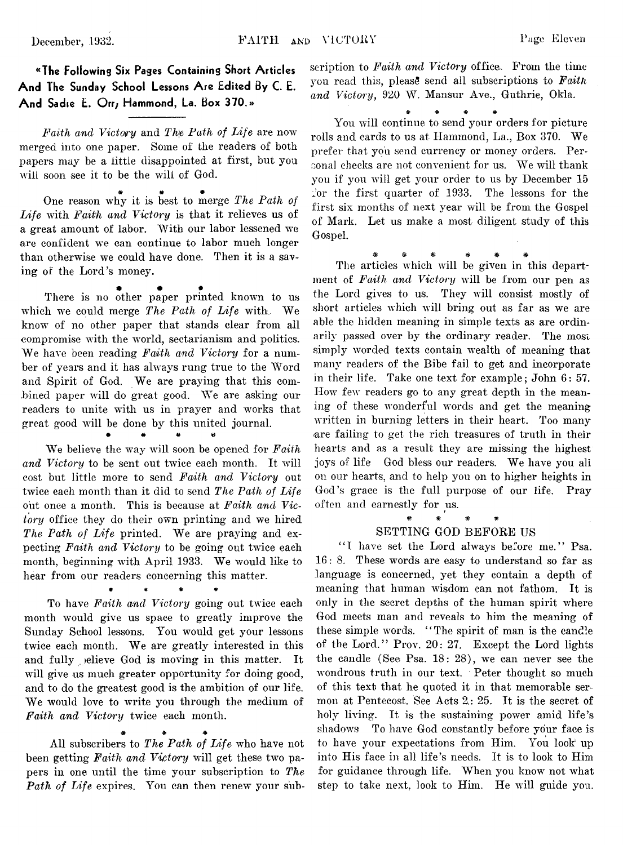^Thc Following Six Pages Containing Short Articles And The Sunday School Lessons Are Edited By C. E. And Sadie E. Orr; Hammond, La. Box 370.»

*Faith and Victory* and *Th\e Path of Life* are now merged into one paper. Some of the readers of both papers may be a little disappointed at first, but you will soon see it to be the will of God.

\* *\* \** One reason why it is best to merge *The Path of Life* with *Ffiith and Victory* is that it relieves us of a great amount of labor. With our labor lessened we are confident we can continue to labor much longer than otherwise we could have done. Then it is a saving of the Lord's money.

• • # There is no other paper printed known to us which we could merge *The Path of Life* with. We know of no other paper that stands clear from all compromise with the world, sectarianism and politics. We have been reading *Faith and Victory* for a number of years and it has always rung true to the Word and Spirit of God. We are praying that this combined paper will do great good. We are asking our readers to unite with us in prayer and works that great good will be done by this united journal.

• # # #

We believe the way will soon be opened for *Faith* and Victory to be sent out twice each month. It will cost but little more to send *Faith and Victory* out twice each month than it did to send *The Path of Life* out once a month. This is because at *Faith and Victory* office they do their own printing and we hired *The Path of Life* printed. We are praying and expecting *Faith and Victory* to be going out twice each month, beginning with April 1933. We would like to hear from our readers concerning this matter.

\* \* # \*

To have *Faith and Victory* going out twice each month would give us space to greatly improve the Sunday School lessons. You would get your lessons twice each month. We are greatly interested in this and fully jelieve God is moving in this matter. It will give us much greater opportunity for doing good, and to do the greatest good is the ambition of our life. We would love to write you through the medium of *Faith and Victory* twice each month.

# # # All subscribers to *The Path of Life* who have not been getting *Faith and Victory* will get these two papers in one until the time your subscription to *The Path of Life* expires. You can then renew your sub-

scription to *Faith and Victory* office.. From the time you read this, please send all subscriptions to **Faith** and Victory, 920 W. Mansur Ave., Guthrie, Okla.

\* \* \* \*

You will continue to send your orders for picture rolls and cards to us at Hammond, La., Box 370. We prefer that you send currency or money orders. Personal checks are not convenient for us. We will thank you if you will get your order to us by December 15 for the first quarter of  $1933$ . The lessons for the first six months of next year will be from the Gospel of Mark. Let us make a most diligent study of this Gospel.

*\** \* # # # \*

The articles which will be given in this department of *Faith and Victory* will be from our pen as the Lord gives to us. They will consist mostly of short articles which will bring out as far as we are able the hidden meaning in simple texts as are ordinarily passed over by the ordinary reader. The most simply worded texts contain wealth of meaning that many readers of the Bibe fail to get and incorporate in their life. Take one text for example; John 6: 57. How few readers go to any great depth in the meaning of these wonderful words and get the meaning written in burning letters in their heart. Too many are failing to get the rich treasures of truth in their hearts and as a result they are missing the highest joys of life God bless our readers. We have you all on our hearts, and to help you on to higher heights in God's grace is the full purpose of our life. Pray often and earnestly for us.

### \* # # \* SETTING GOD BEFORE US

"I have set the Lord always before me." Psa. 16: 8. These words are easy to understand so far as language is concerned, yet they contain a depth of meaning that human wisdom can not fathom. It is only in the secret depths of the human spirit where God meets man and reveals to him the meaning of these simple words. "The spirit of man is the candle of the Lord." Prov. 20: 27. Except the Lord lights the candle (See Psa. 18: 28), we can never see the wondrous truth in our text. Peter thought so much of this text that he quoted it in that memorable sermon at Pentecost. See Acts 2: 25. It is the secret of holy living. It is the sustaining power amid life's shadows To have God constantly before your face is to have your expectations from Him. You look up into His face in all life's needs. It is to look to Him for guidance through life. When you know not what step to take next, look to Him. He will guide you.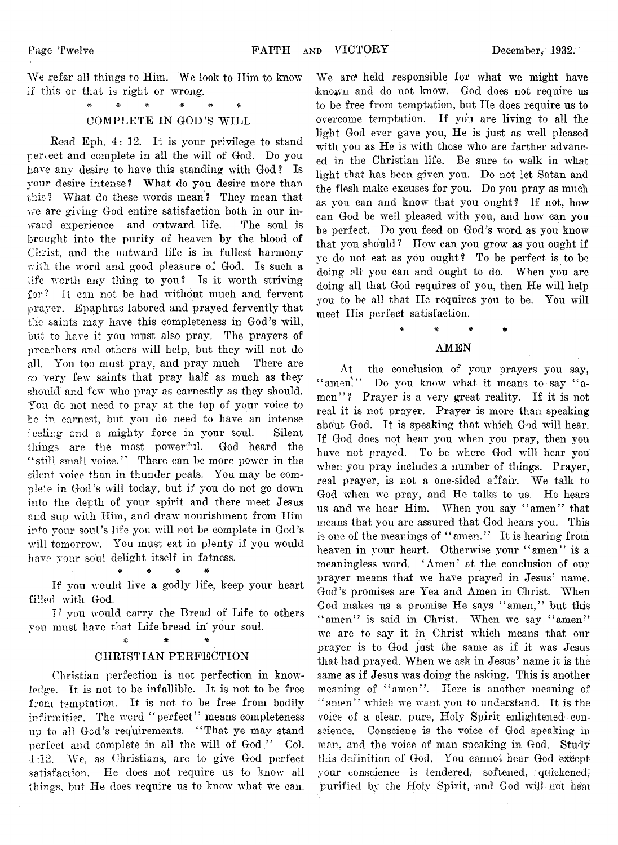We refer all things to Him. We look to Him to know if this or that is right or wrong.

# \* # # ^ COMPLETE IN GOD'S WILL

Read Eph. 4: 12. It is your privilege to stand perfect and complete in all the will of God. Do you have any desire to have this standing with God? Is your desire intense? What do you desire more than this? What do these words mean? They mean that we are giving God entire satisfaction both in our inward experience and outward life. The soul is brought into the purity of heaven by the blood of Christ, and the outward life is in fullest harmony with the word and good pleasure of God. Is such a life worth any thing to you? Is it worth striving for? It can not be had without much and fervent prayer. Epapkras labored and prayed fervently that the saints may have this completeness in God's will, but to have it you must also pray. The prayers of preachers and others will help, but they will not do all. You too must pray, and pray much. There are so very few saints that pray half as much as they should and few who pray as earnestly as they should. You do not need to pray at the top of your voice to be in earnest, but you do need to have an intense feeling and a mighty force in your soul. Silent things are the most powerful. God heard the "still small voice." There can be more power in the silent voice than in thunder peals. You may he complete in God's will today, but if you do not go down into the depth of your spirit and there meet Jesus and sup with Him, and draw nourishment from Him into your soul's life you will not be complete in God's will tomorrow. You must eat in plenty if you would have your soul delight itself in fatness.

# \* # If you would live a godly life, keep your heart filled with God.

TP you would carry the Bread of Life to others you must have that Life-bread in' your soul.

# \* *%* & CHRISTIAN PERFECTION

Christian perfection is not perfection in knowledge. It is not to be infallible. It is not to be free from temptation. It is not to be free from bodily infirmities. The word "perfect" means completeness up to all God's requirements. "That ye may stand perfect and complete in all the will of God." Col. 4:12. We, as Christians, are to give God perfect satisfaction. He does not require us to know all things, but He does require us to know what we can.

We are' held responsible for what we might have known and do not know. God does not require us to be free from temptation, but He does require us to overcome temptation. If you are living to all the light God ever gave you, He is just as well pleased with you as He is with those who are farther advanced in the Christian life. Be sure to walk in what light that has been given you. Do not let Satan and the flesh make excuses for you. Do you pray as much as you can and know that you ought? If not, how can God be well pleased with you, and how can you be perfect. Do you feed on God's word as you know that you should? How can you grow as you ought if ye do not eat as you ought? To be perfect is to be doing all you can and ought to do. When you are doing all that God requires of you, then He will help you to be ail that He requires you to be. You will meet His perfect satisfaction.

# \* \* # \* AMEN

At the conclusion of your prayers you say, " amen." Do you know what it means to say "amen"? Prayer is a very great reality. If it is not real it is not prayer. Prayer is more than speaking about God. It is speaking that which God will hear. If God does not hear you when you pray, then you have not prayed. To be where God will hear you when you pray includes .a number of things. Prayer, real prayer, is not a one-sided affair. We talk to God when we pray, and He talks to us. He hears us and we hear Him. When you say "amen" that means that you are assured that God hears you. This is one of the meanings of "amen." It is hearing from heaven in your heart. Otherwise your "amen" is a meaningless word. ' Amen' at the conclusion of our prayer means that we have prayed in Jesus' name. God's promises are Yea and Amen in Christ. When God makes us a promise He says "amen," but this " amen" is said in Christ. When we say "amen" we are to say it in Christ which means that our prayer is to God just the same as if it was Jesus that had prayed. When we ask in Jesus' name it is the same as if Jesus was doing the asking. This is another meaning of "amen". Here is another meaning of "amen" which we want you to understand. It is the voice of a clear, pure, Holy Spirit enlightened conscience. Conseiene is the voice of God speaking in man, and the voice of man speaking in God. Study this definition of God. You cannot hear God except your conscience is tendered, softened, quickened, purified by the Holy Spirit, and God will not hear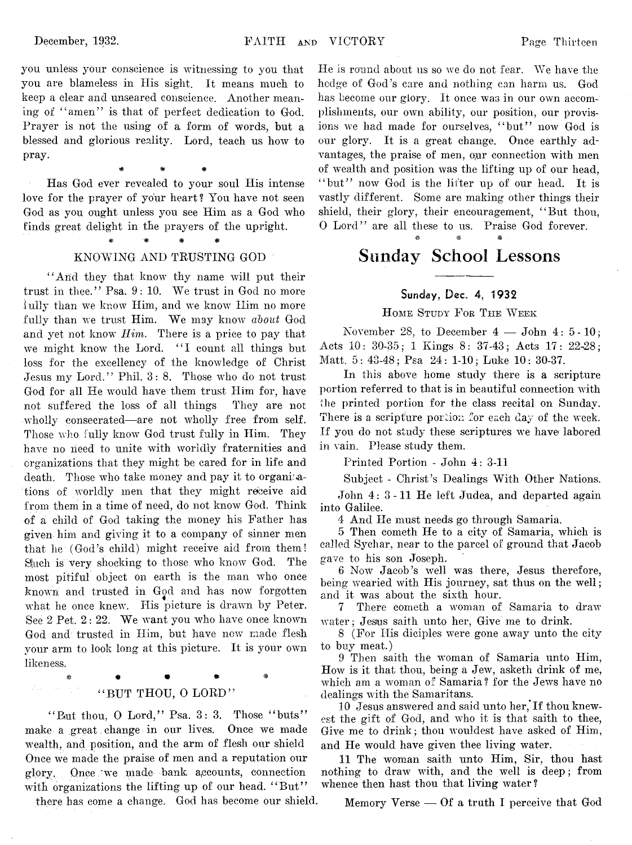you unless your conscience is witnessing to you that you are blameless in His sight. It means much to keep a clear and unseared conscience. Another meaning of " amen" is that of perfect dedication to God. Prayer is not the using of a form of words, but a blessed and glorious reality. Lord, teach us how to pray.

Has God ever revealed to your soul His intense love for the prayer of your heart? You have not seen God as you ought unless you see Him as a God who finds great delight in the prayers of the upright.

\* \* #

# KNOWING AND TRUSTING GOD

"And they that know thy name will put their trust in thee." Psa. 9: 10. We trust in God no more fully than we know Him, and we know Him no more fully than we trust Him. We may know *about* God and yet not know *Him.* There is a price to pay that we might know the Lord. "I count all things but loss for the excellency of the knowledge of Christ Jesus my Lord." Phil. 3: 8. Those who do not trust God for all He would have them trust Him for, have not suffered the loss of all things They are not wholly consecrated—are not wholly free from self. Those who fully know God trust fully in Him. They have no need to unite with worldly fraternities and organizations that they might be cared for in life and death. Those who take money and pay it to organisations of worldly men that they might receive aid from them in a time of need, do not know God. Think of a child of God taking the money his Father has given him and giving it to a company of sinner men that he (God's child) might receive aid from them! Sluch is very shocking to those who know' God. The most pitiful object on earth is the man who once known and trusted in God and has now forgotten what he once knew. His picture is drawn by Peter. See 2 Pet. 2: 22. We want you who have once known God and trusted in Him, but have now made flesh your arm to look long at this picture. It is your own likeness.

> $\ast$  \* \* \* \*  $\ast$ "BUT THOU, O LORD"

"But thou, O Lord," Psa. 3: 3. Those "buts" make a great change in our lives. Once we made wealth, and position, and the arm of flesh our shield Once we made the praise of men and a reputation our glory, Once .we made bank, accounts, connection with organizations the lifting up of our head. "But"

there has come a change. God has become our shield.

He is round about us so we do not fear. We have the hedge of God's care and nothing can harm us. God has become our glory. It once was in our own accomplishments, our own ability, our position, our provisions we had made for ourselves, "but" now God is our glory. It is a great change. Once earthly advantages, the praise of men, our connection with men of wealth and position was the lifting up of our head, "but" now God is the lifter up of our head. It is vastly different. Some are making other things their shield, their glory, their encouragement, " But thou, 0 Lord" are all these to us. Praise God forever. \* # #

# **Sunday School Lessons**

# Sunday, Dec. 4, 1932

### **H ome Study F or T he W eek**

November 28, to December  $4 - John\ 4: 5-10$ ; Acts 10: 30-35; 1 Kings 8: 37-43; Acts 17: 22.28; Matt. 5: 43-48; Psa 24: 1-10; Luke 10: 30-37.

In this above home study there is a scripture portion referred to that is in beautiful connection with the printed portion for the class recital on Sunday. There is a scripture portion for each day of the week. If you do not study these scriptures we have labored in vain. Please study them.

Printed Portion - John 4: 3-11

Subject - Christ's Dealings With Other Nations.

John 4: 3-11 He left Judea, and departed again into Galilee.

4 And He must needs go through Samaria,

5 Then cometh He to a city of Samaria, which is called Sychar, near to the parcel of ground that Jacob gave to his son Joseph.

6 Now Jacob's well was there, Jesus therefore, being wearied with His journey, sat thus on the well; and it was about the sixth hour.

7 There cometh a woman of Samaria to draw water; Jesus saith unto her, Give me to drink.

8 (For His diciples were gone away unto the city to buy meat.)

9 Then saith the woman of Samaria unto Him, **H oav** is it that thou, being a **J**ew, asketh drink of me, which am a woman of Samaria? for the Jews have no dealings with the Samaritans.

10 Jesus answered and said unto her, If thou knewest the gift of God, and who it is that saith to thee, Give me to drink; thou wouldest have asked of Him, and He would have given thee living water.

11 The woman saith unto Him, Sir, thou hast nothing to draw with, and the well is deep; from whence then hast thou that living water?

Memory Verse — Of a truth I perceive that God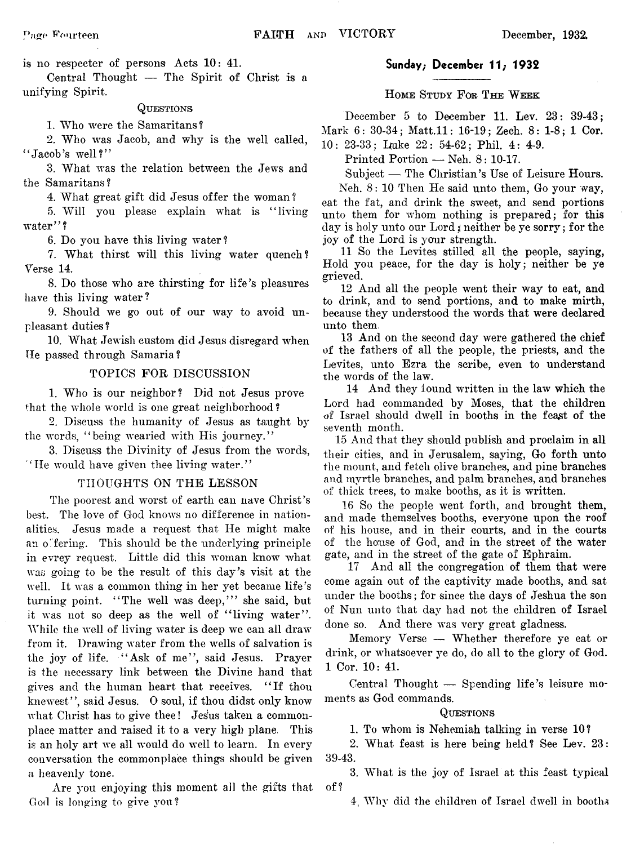is no respecter of persons Acts 10: 41.

Central Thought — The Spirit of Christ is a unifying Spirit.

#### **Questions**

1. Who were the Samaritans?

2. Who was Jacob, and why is the well called,  $"$ Jacob's well?"

3. What was the relation between the Jews and the Samaritans?

4. What great gift did Jesus offer the woman?

5. Will you please explain what is " living water"?

6. Do you have this living water ?

7. What thirst will this living water quench? Verse 14.

8. Do those who are thirsting for life's pleasures have this living water?

9. Should we go out of our way to avoid unpleasant duties?

10. What Jewish custom did Jesus disregard when He passed through Samaria ?

### TOPICS FOR DISCUSSION

1. Who is our neighbor? Did not Jesus prove that the whole world is one great neighborhood ?

2. Discuss the humanity of Jesus as taught by the words, " being wearied with His journey."

3. Discuss the Divinity of Jesus from the words, " He would have given thee living water."

### THOUGHTS ON THE LESSON

The poorest and worst of earth can nave Christ's best. The love of God knows no difference in nationalities. Jesus made a request that He might make an offering. This should be the underlying principle in evrey request. Little did this woman know what was going to be the result of this day's visit at the well. It was a common thing in her yet became life's turning point. "The well was deep," she said, but it was not so deep as the well of "living water". While the well of living water is deep we can all draw from it. Drawing water from the wells of salvation is the joy of life. "Ask of me", said Jesus. Prayer is the necessary link between the Divine hand that gives and the human heart that receives. " If thou knewest", said Jesus. O soul, if thou didst only know what Christ has to give thee! Jesus taken a commonplace matter and raised it to a very high plane This is an holy art we all would do well to learn. In every conversation the commonplace things should be given a heavenly tone.

Are you enjoying this moment all the gifts that God is longing to give you?

### Sunday; December 11; 1932

**H ome Study F or The W eek**

December 5 to December 11. Lev. 23: 39-43;

Mark 6: 30-34; Matt.11: 16-19; Zech. 8: 1-8; 1 Cor.

10: 23-33; Luke 22: 54-62; Phil. 4: 4-9.

Printed Portion — Neh. 8: 10-17.

Subject — The Christian's Use of Leisure Hours.

Neh. 8: 10 Then He said unto them, Go your way, eat the fat, and drink the sweet, and send portions unto them for whom nothing is prepared; for this day is holy unto our Lord *\$* neither be ye sorry; for the joy of the Lord is your strength.

11 So the Levites stilled all the people, saying, Hold you peace, for the day is holy; neither be ye grieved.

12 And all the people went their way to eat, and to drink, and to send portions, and to make mirth, because they understood the words that were declared unto them.

13 And on the second day were gathered the chief of the fathers of all the people, the priests, and the Levites, unto Ezra the scribe, even to understand the words of the law.

14 And they found written in the law which the Lord had commanded by Moses, that the children of Israel should dwell in booths in the feast of the seventh month.

15 And that they should publish and proclaim in all their cities, and in Jerusalem, saying, Go forth unto the mount, and fetch olive branches, and pine branches and myrtle branches, and palm branches, and branches of thick trees, to make booths, as it is written.

16 So the people went forth, and brought them, and made themselves booths, everyone upon the roof of his house, and in their courts, and in the courts of the house of God, and in the street of the water gate, and in the street of the gate of Ephraim.

17 And all the congregation of them that were come again out of the captivity made booths, and sat under the booths; for since the days of Jeshua the son of Nun unto that day had not the children of Israel done so. And there was very great gladness.

Memory Yerse — Whether therefore ye eat or drink, or whatsoever ye do, do all to the glory of God. 1 Cor. 10: 41.

Central Thought — Spending life's leisure moments as God commands.

#### **Questions**

1. To whom is Nehemiah talking in verse 10?

2. What feast is here being held? See Lev. 23: 39-43.

3. What is the joy of Israel at this feast typical of?

4. Why did the children of Israel dwell in booths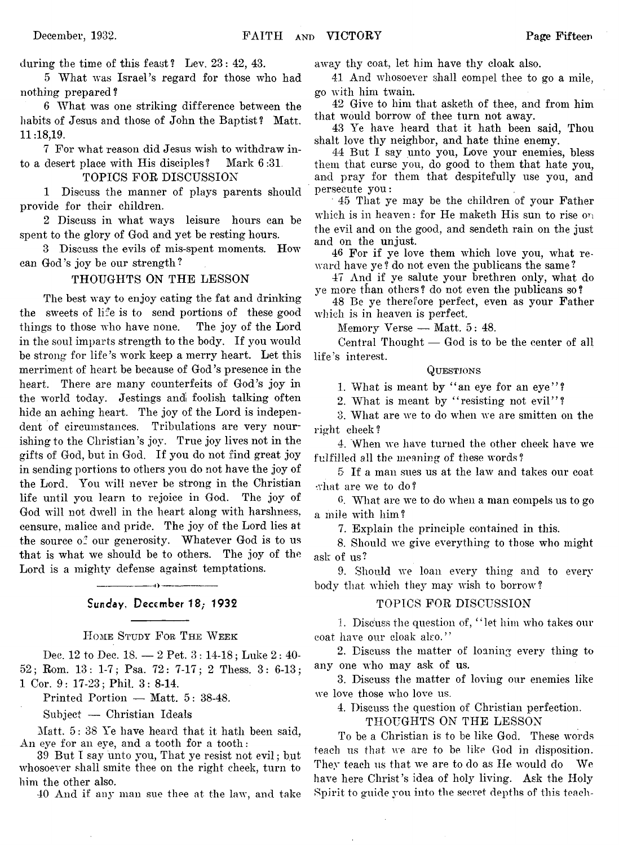during the time of this feast? Lev. 23: 42, 43.

5 What was Israel's regard for those who had nothing prepared?

6 What was one striking difference between the habits of Jesus and those of John the Baptist? Matt. 11:18,19.

7 For what reason did Jesus wish to withdraw into a desert place with His disciples? Mark 6:31,

TOPICS FOR DISCUSSION

1 Discuss the manner of plays parents should provide for their children.

2 Discuss in wliat ways leisure hours can be spent to the glory of God and yet be resting hours.

3 Discuss the evils of mis-spent moments. How can God's joy be our strength?

#### THOUGHTS ON THE LESSON

The best way to enjoy eating the fat and drinking the sweets of life is to send portions of these good things to those who have none. The joy of the Lord in the soul imparts strength to the body. If you would be strong for life's work keep a merry heart. Let this merriment of heart be because of God's presence in the heart. There are many counterfeits of God's joy in the world today. Jestings andi foolish talking often hide an aching heart. The joy of the Lord is independent of circumstances. Tribulations are very nourishing to the Christian's joy. True joy lives not in the gifts of God, but in God. If you do not find great joy in sending portions to others you do not have the joy of the Lord. You will never be strong in the Christian life until you learn to rejoice in God. The joy of God will not dwell in the heart along with harshness, censure, malice and pride. The joy of the Lord lies at the source of our generosity. Whatever God is to us that is what we should be to others. The joy of the Lord is a mighty defense against temptations.

# ---------------------------------------------- 1 > ---------------------------------------------- Sunday, December 18; 1932

**H ome Study F or T he W eek**

Dec. 12 to Dec. 18. — 2 Pet. 3 : 14-18; Luke 2: 40- 52; Rom. 13: 1-7; Psa, 72: 7-17; 2 Thess. 3: 6-13; 1 Cor. 9: 17-23; Phil. 3: 8-14.

Printed Portion — Matt. 5: 38-48.

Subject — Christian Ideals

Matt. 5: 38 Ye have heard that it hath been said, An eye for an eye, and a tooth for a tooth:

39 But I say unto you, That ye resist not evil; but whosoever shall smite thee on the right cheek, turn to him the other also.

40 And if any man sue thee at the law, and take

away thy coat, let him have thy cloak also.

41 And whosoever shall compel thee to go a mile, go with him twain.

42 Give to him that asketh of thee, and from him that would borrow of thee turn not away.

43 Ye have heard that it hath been said, Thou shalt love thy neighbor, and hate thine enemy.

44 But I say unto you, Love your enemies, bless them that curse you, do good to them that hate you, and pray for them that despitefully use you, and persecute you:

45 That ye may be the children of your Father which is in heaven: for He maketh His sun to rise on the evil and on the good, and sendeth rain on the just and on the unjust.

46 For if ye love them which love you, what reward have ye ? do not even the publicans the same ?

47 And if ye salute your brethren only, what do ye more than others? do not even the publicans so?

48 Be ye therefore perfect, even as your Father which is in heaven is perfect.

Memory Verse — Matt. 5: 48.

Central Thought — God is to be the center of all life's interest.

### **Questions**

1. What is meant by "an eye for an eye"?

2. What is meant by "resisting not evil"?

3. What are we to do when we are smitten on the right cheek?

4. When we have turned the other cheek have we fulfilled all the meaning of these words?

5 If a man sues us at the law and takes our coat what are we to do?

6. What are we to do when a man compels us to go a mile with him?

7. Explain the principle contained in this.

8. Should we give everything to those who might ask of us?

9. Should we loan every thing and to every body that which they may wish to borrow?

#### TOPICS FOR DISCUSSION

1. Discuss the question of, " let him who takes our coat have our cloak also."

2. Discuss the matter of loaning every thing to any one who may ask of us.

3. Discuss the matter of loving our enemies like we love those who love us.

4. Discuss the question of Christian perfection.

THOUGHTS ON THE LESSON

To be a Christian is to be like God. These words teach us that we are to be like God in disposition. They teach us that we are to do as He would do We have here Christ's idea of holy living. Ask the Holy Spirit to guide you into the secret depths of this teach